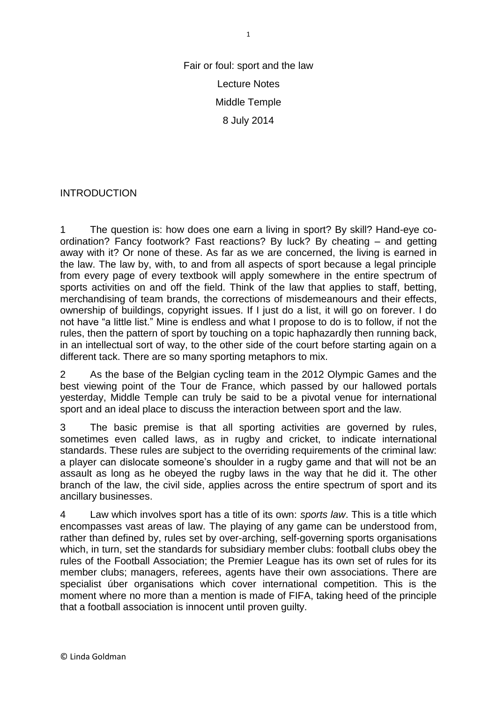Fair or foul: sport and the law Lecture Notes Middle Temple 8 July 2014

### INTRODUCTION

1 The question is: how does one earn a living in sport? By skill? Hand-eye coordination? Fancy footwork? Fast reactions? By luck? By cheating – and getting away with it? Or none of these. As far as we are concerned, the living is earned in the law. The law by, with, to and from all aspects of sport because a legal principle from every page of every textbook will apply somewhere in the entire spectrum of sports activities on and off the field. Think of the law that applies to staff, betting, merchandising of team brands, the corrections of misdemeanours and their effects, ownership of buildings, copyright issues. If I just do a list, it will go on forever. I do not have "a little list." Mine is endless and what I propose to do is to follow, if not the rules, then the pattern of sport by touching on a topic haphazardly then running back, in an intellectual sort of way, to the other side of the court before starting again on a different tack. There are so many sporting metaphors to mix.

2 As the base of the Belgian cycling team in the 2012 Olympic Games and the best viewing point of the Tour de France, which passed by our hallowed portals yesterday, Middle Temple can truly be said to be a pivotal venue for international sport and an ideal place to discuss the interaction between sport and the law.

3 The basic premise is that all sporting activities are governed by rules, sometimes even called laws, as in rugby and cricket, to indicate international standards. These rules are subject to the overriding requirements of the criminal law: a player can dislocate someone's shoulder in a rugby game and that will not be an assault as long as he obeyed the rugby laws in the way that he did it. The other branch of the law, the civil side, applies across the entire spectrum of sport and its ancillary businesses.

4 Law which involves sport has a title of its own: *sports law*. This is a title which encompasses vast areas of law. The playing of any game can be understood from, rather than defined by, rules set by over-arching, self-governing sports organisations which, in turn, set the standards for subsidiary member clubs: football clubs obey the rules of the Football Association; the Premier League has its own set of rules for its member clubs; managers, referees, agents have their own associations. There are specialist úber organisations which cover international competition. This is the moment where no more than a mention is made of FIFA, taking heed of the principle that a football association is innocent until proven guilty.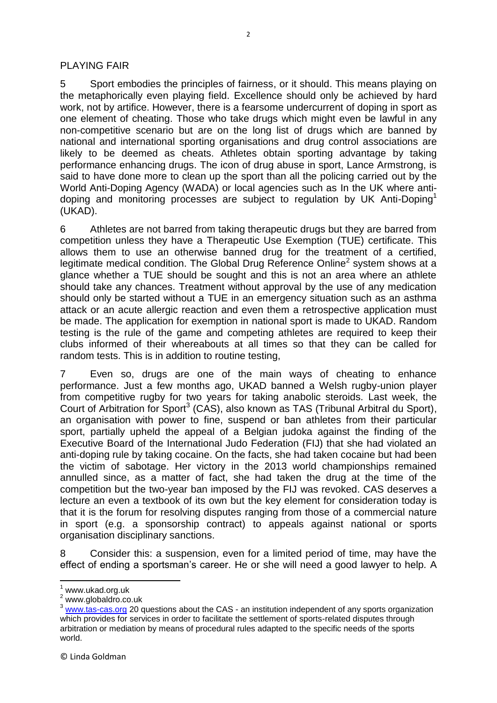### PLAYING FAIR

5 Sport embodies the principles of fairness, or it should. This means playing on the metaphorically even playing field. Excellence should only be achieved by hard work, not by artifice. However, there is a fearsome undercurrent of doping in sport as one element of cheating. Those who take drugs which might even be lawful in any non-competitive scenario but are on the long list of drugs which are banned by national and international sporting organisations and drug control associations are likely to be deemed as cheats. Athletes obtain sporting advantage by taking performance enhancing drugs. The icon of drug abuse in sport, Lance Armstrong, is said to have done more to clean up the sport than all the policing carried out by the World Anti-Doping Agency (WADA) or local agencies such as In the UK where antidoping and monitoring processes are subject to regulation by UK Anti-Doping<sup>1</sup> (UKAD).

6 Athletes are not barred from taking therapeutic drugs but they are barred from competition unless they have a Therapeutic Use Exemption (TUE) certificate. This allows them to use an otherwise banned drug for the treatment of a certified, legitimate medical condition. The Global Drug Reference Online<sup>2</sup> system shows at a glance whether a TUE should be sought and this is not an area where an athlete should take any chances. Treatment without approval by the use of any medication should only be started without a TUE in an emergency situation such as an asthma attack or an acute allergic reaction and even them a retrospective application must be made. The application for exemption in national sport is made to UKAD. Random testing is the rule of the game and competing athletes are required to keep their clubs informed of their whereabouts at all times so that they can be called for random tests. This is in addition to routine testing,

7 Even so, drugs are one of the main ways of cheating to enhance performance. Just a few months ago, UKAD banned a Welsh rugby-union player from competitive rugby for two years for taking anabolic steroids. Last week, the Court of Arbitration for Sport<sup>3</sup> (CAS), also known as TAS (Tribunal Arbitral du Sport), an organisation with power to fine, suspend or ban athletes from their particular sport, partially upheld the appeal of a Belgian judoka against the finding of the Executive Board of the International Judo Federation (FIJ) that she had violated an anti-doping rule by taking cocaine. On the facts, she had taken cocaine but had been the victim of sabotage. Her victory in the 2013 world championships remained annulled since, as a matter of fact, she had taken the drug at the time of the competition but the two-year ban imposed by the FIJ was revoked. CAS deserves a lecture an even a textbook of its own but the key element for consideration today is that it is the forum for resolving disputes ranging from those of a commercial nature in sport (e.g. a sponsorship contract) to appeals against national or sports organisation disciplinary sanctions.

8 Consider this: a suspension, even for a limited period of time, may have the effect of ending a sportsman's career. He or she will need a good lawyer to help*.* A

 $\overline{\phantom{a}}$ 

 $1$  www.ukad.org.uk

<sup>&</sup>lt;sup>2</sup> www.globaldro.co.uk

<sup>&</sup>lt;sup>3</sup> [www.tas-cas.org](http://www.tas-cas.org/) 20 questions about the CAS - an institution independent of any sports organization which provides for services in order to facilitate the settlement of sports-related disputes through arbitration or mediation by means of procedural rules adapted to the specific needs of the sports world.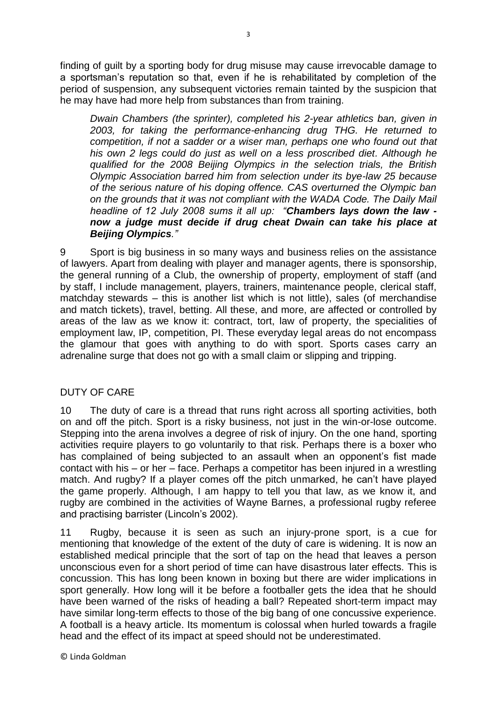finding of guilt by a sporting body for drug misuse may cause irrevocable damage to a sportsman's reputation so that, even if he is rehabilitated by completion of the period of suspension, any subsequent victories remain tainted by the suspicion that he may have had more help from substances than from training.

*Dwain Chambers (the sprinter), completed his 2-year athletics ban, given in 2003, for taking the performance-enhancing drug THG. He returned to competition, if not a sadder or a wiser man, perhaps one who found out that his own 2 legs could do just as well on a less proscribed diet. Although he qualified for the 2008 Beijing Olympics in the selection trials, the British Olympic Association barred him from selection under its bye-law 25 because of the serious nature of his doping offence. CAS overturned the Olympic ban on the grounds that it was not compliant with the WADA Code. The Daily Mail headline of 12 July 2008 sums it all up: "Chambers lays down the law now a judge must decide if drug cheat Dwain can take his place at Beijing Olympics."*

9 Sport is big business in so many ways and business relies on the assistance of lawyers. Apart from dealing with player and manager agents, there is sponsorship, the general running of a Club, the ownership of property, employment of staff (and by staff, I include management, players, trainers, maintenance people, clerical staff, matchday stewards – this is another list which is not little), sales (of merchandise and match tickets), travel, betting. All these, and more, are affected or controlled by areas of the law as we know it: contract, tort, law of property, the specialities of employment law, IP, competition, PI. These everyday legal areas do not encompass the glamour that goes with anything to do with sport. Sports cases carry an adrenaline surge that does not go with a small claim or slipping and tripping.

## DUTY OF CARE

10 The duty of care is a thread that runs right across all sporting activities, both on and off the pitch. Sport is a risky business, not just in the win-or-lose outcome. Stepping into the arena involves a degree of risk of injury. On the one hand, sporting activities require players to go voluntarily to that risk. Perhaps there is a boxer who has complained of being subjected to an assault when an opponent's fist made contact with his – or her – face. Perhaps a competitor has been injured in a wrestling match. And rugby? If a player comes off the pitch unmarked, he can't have played the game properly. Although, I am happy to tell you that law, as we know it, and rugby are combined in the activities of Wayne Barnes, a professional rugby referee and practising barrister (Lincoln's 2002).

11 Rugby, because it is seen as such an injury-prone sport, is a cue for mentioning that knowledge of the extent of the duty of care is widening. It is now an established medical principle that the sort of tap on the head that leaves a person unconscious even for a short period of time can have disastrous later effects. This is concussion. This has long been known in boxing but there are wider implications in sport generally. How long will it be before a footballer gets the idea that he should have been warned of the risks of heading a ball? Repeated short-term impact may have similar long-term effects to those of the big bang of one concussive experience. A football is a heavy article. Its momentum is colossal when hurled towards a fragile head and the effect of its impact at speed should not be underestimated.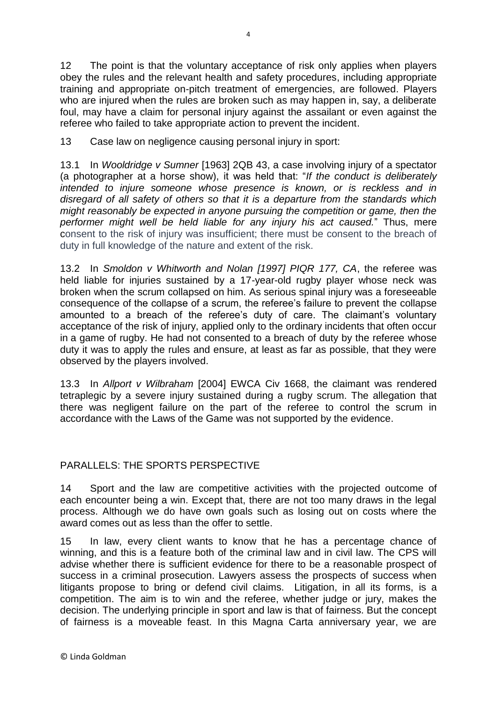12 The point is that the voluntary acceptance of risk only applies when players obey the rules and the relevant health and safety procedures, including appropriate training and appropriate on-pitch treatment of emergencies, are followed. Players who are injured when the rules are broken such as may happen in, say, a deliberate foul, may have a claim for personal injury against the assailant or even against the referee who failed to take appropriate action to prevent the incident.

13 Case law on negligence causing personal injury in sport:

13.1 In *Wooldridge v Sumner* [1963] 2QB 43, a case involving injury of a spectator (a photographer at a horse show), it was held that: "*If the conduct is deliberately intended to injure someone whose presence is known, or is reckless and in disregard of all safety of others so that it is a departure from the standards which might reasonably be expected in anyone pursuing the competition or game, then the performer might well be held liable for any injury his act caused.*" Thus, mere consent to the risk of injury was insufficient; there must be consent to the breach of duty in full knowledge of the nature and extent of the risk.

13.2 In *Smoldon v Whitworth and Nolan [1997] PIQR 177, CA*, the referee was held liable for injuries sustained by a 17-year-old rugby player whose neck was broken when the scrum collapsed on him. As serious spinal injury was a foreseeable consequence of the collapse of a scrum, the referee's failure to prevent the collapse amounted to a breach of the referee's duty of care. The claimant's voluntary acceptance of the risk of injury, applied only to the ordinary incidents that often occur in a game of rugby. He had not consented to a breach of duty by the referee whose duty it was to apply the rules and ensure, at least as far as possible, that they were observed by the players involved.

13.3 In *Allport v Wilbraham* [2004] EWCA Civ 1668, the claimant was rendered tetraplegic by a severe injury sustained during a rugby scrum. The allegation that there was negligent failure on the part of the referee to control the scrum in accordance with the Laws of the Game was not supported by the evidence.

## PARALLELS: THE SPORTS PERSPECTIVE

14 Sport and the law are competitive activities with the projected outcome of each encounter being a win. Except that, there are not too many draws in the legal process. Although we do have own goals such as losing out on costs where the award comes out as less than the offer to settle.

15 In law, every client wants to know that he has a percentage chance of winning, and this is a feature both of the criminal law and in civil law. The CPS will advise whether there is sufficient evidence for there to be a reasonable prospect of success in a criminal prosecution. Lawyers assess the prospects of success when litigants propose to bring or defend civil claims. Litigation, in all its forms, is a competition. The aim is to win and the referee, whether judge or jury, makes the decision. The underlying principle in sport and law is that of fairness. But the concept of fairness is a moveable feast. In this Magna Carta anniversary year, we are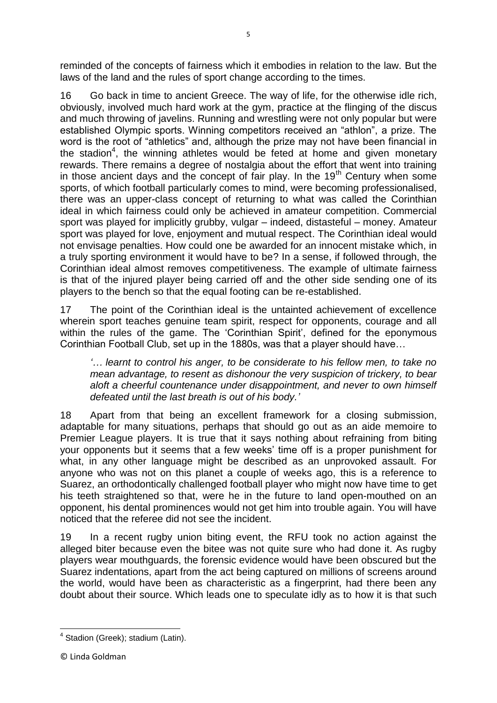reminded of the concepts of fairness which it embodies in relation to the law. But the laws of the land and the rules of sport change according to the times.

16 Go back in time to ancient Greece. The way of life, for the otherwise idle rich, obviously, involved much hard work at the gym, practice at the flinging of the discus and much throwing of javelins. Running and wrestling were not only popular but were established Olympic sports. Winning competitors received an "athlon", a prize. The word is the root of "athletics" and, although the prize may not have been financial in the stadion<sup>4</sup>, the winning athletes would be feted at home and given monetary rewards. There remains a degree of nostalgia about the effort that went into training in those ancient days and the concept of fair play. In the  $19<sup>th</sup>$  Century when some sports, of which football particularly comes to mind, were becoming professionalised, there was an upper-class concept of returning to what was called the Corinthian ideal in which fairness could only be achieved in amateur competition. Commercial sport was played for implicitly grubby, vulgar – indeed, distasteful – money. Amateur sport was played for love, enjoyment and mutual respect. The Corinthian ideal would not envisage penalties. How could one be awarded for an innocent mistake which, in a truly sporting environment it would have to be? In a sense, if followed through, the Corinthian ideal almost removes competitiveness. The example of ultimate fairness is that of the injured player being carried off and the other side sending one of its players to the bench so that the equal footing can be re-established.

17 The point of the Corinthian ideal is the untainted achievement of excellence wherein sport teaches genuine team spirit, respect for opponents, courage and all within the rules of the game. The 'Corinthian Spirit', defined for the eponymous Corinthian Football Club, set up in the 1880s, was that a player should have…

*'… learnt to control his anger, to be considerate to his fellow men, to take no mean advantage, to resent as dishonour the very suspicion of trickery, to bear aloft a cheerful countenance under disappointment, and never to own himself defeated until the last breath is out of his body.'*

18 Apart from that being an excellent framework for a closing submission, adaptable for many situations, perhaps that should go out as an aide memoire to Premier League players. It is true that it says nothing about refraining from biting your opponents but it seems that a few weeks' time off is a proper punishment for what, in any other language might be described as an unprovoked assault. For anyone who was not on this planet a couple of weeks ago, this is a reference to Suarez, an orthodontically challenged football player who might now have time to get his teeth straightened so that, were he in the future to land open-mouthed on an opponent, his dental prominences would not get him into trouble again. You will have noticed that the referee did not see the incident.

19 In a recent rugby union biting event, the RFU took no action against the alleged biter because even the bitee was not quite sure who had done it. As rugby players wear mouthguards, the forensic evidence would have been obscured but the Suarez indentations, apart from the act being captured on millions of screens around the world, would have been as characteristic as a fingerprint, had there been any doubt about their source. Which leads one to speculate idly as to how it is that such

 4 Stadion (Greek); stadium (Latin).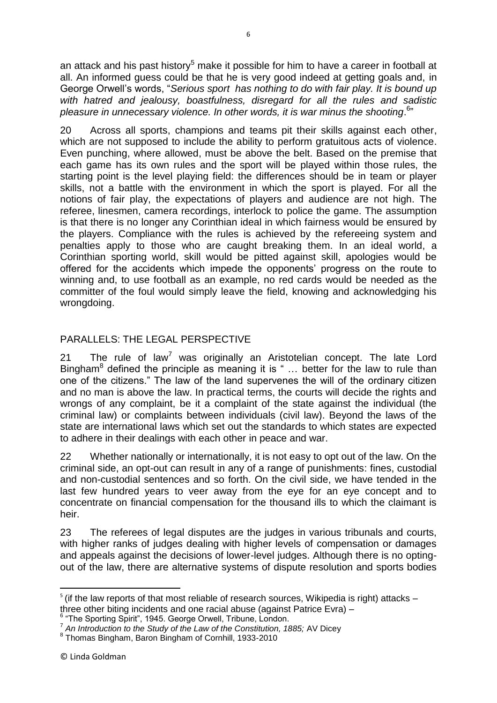an attack and his past history<sup>5</sup> make it possible for him to have a career in football at all. An informed guess could be that he is very good indeed at getting goals and, in George Orwell's words, "*Serious sport has nothing to do with fair play. It is bound up with hatred and jealousy, boastfulness, disregard for all the rules and sadistic*  pleasure in unnecessary violence. In other words, it is war minus the shooting.<sup>6</sup>"

20 Across all sports, champions and teams pit their skills against each other, which are not supposed to include the ability to perform gratuitous acts of violence. Even punching, where allowed, must be above the belt. Based on the premise that each game has its own rules and the sport will be played within those rules, the starting point is the level playing field: the differences should be in team or player skills, not a battle with the environment in which the sport is played. For all the notions of fair play, the expectations of players and audience are not high. The referee, linesmen, camera recordings, interlock to police the game. The assumption is that there is no longer any Corinthian ideal in which fairness would be ensured by the players. Compliance with the rules is achieved by the refereeing system and penalties apply to those who are caught breaking them. In an ideal world, a Corinthian sporting world, skill would be pitted against skill, apologies would be offered for the accidents which impede the opponents' progress on the route to winning and, to use football as an example, no red cards would be needed as the committer of the foul would simply leave the field, knowing and acknowledging his wrongdoing.

# PARALLELS: THE LEGAL PERSPECTIVE

21 The rule of law<sup>7</sup> was originally an Aristotelian concept. The late Lord Bingham $8$  defined the principle as meaning it is  $\degree$  ... better for the law to rule than one of the citizens." The law of the land supervenes the will of the ordinary citizen and no man is above the law. In practical terms, the courts will decide the rights and wrongs of any complaint, be it a complaint of the state against the individual (the criminal law) or complaints between individuals (civil law). Beyond the laws of the state are international laws which set out the standards to which states are expected to adhere in their dealings with each other in peace and war.

22 Whether nationally or internationally, it is not easy to opt out of the law. On the criminal side, an opt-out can result in any of a range of punishments: fines, custodial and non-custodial sentences and so forth. On the civil side, we have tended in the last few hundred years to veer away from the eye for an eye concept and to concentrate on financial compensation for the thousand ills to which the claimant is heir.

23 The referees of legal disputes are the judges in various tribunals and courts, with higher ranks of judges dealing with higher levels of compensation or damages and appeals against the decisions of lower-level judges. Although there is no optingout of the law, there are alternative systems of dispute resolution and sports bodies

**.** 

 $5$  (if the law reports of that most reliable of research sources, Wikipedia is right) attacks  $$ three other biting incidents and one racial abuse (against Patrice Evra) –

<sup>&</sup>lt;sup>6</sup> "The Sporting Spirit", 1945. George Orwell, Tribune, London.

<sup>7</sup> *An Introduction to the Study of the Law of the Constitution, 1885;* AV Dicey

<sup>8</sup> Thomas Bingham, Baron Bingham of Cornhill, 1933-2010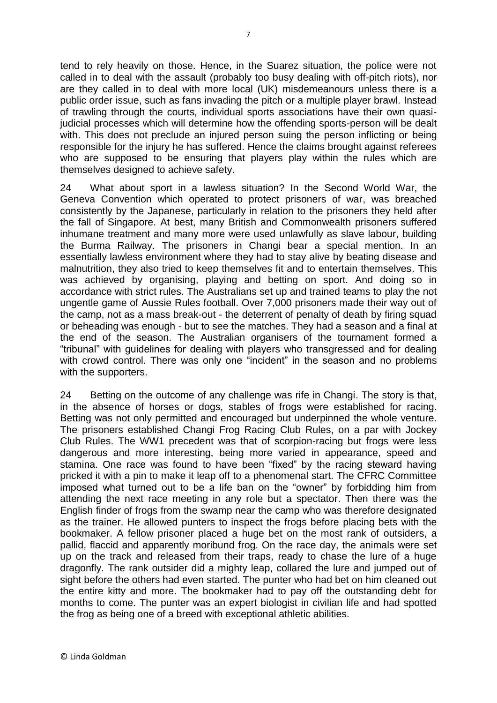tend to rely heavily on those. Hence, in the Suarez situation, the police were not called in to deal with the assault (probably too busy dealing with off-pitch riots), nor are they called in to deal with more local (UK) misdemeanours unless there is a public order issue, such as fans invading the pitch or a multiple player brawl. Instead of trawling through the courts, individual sports associations have their own quasijudicial processes which will determine how the offending sports-person will be dealt with. This does not preclude an injured person suing the person inflicting or being responsible for the injury he has suffered. Hence the claims brought against referees who are supposed to be ensuring that players play within the rules which are themselves designed to achieve safety.

24 What about sport in a lawless situation? In the Second World War, the Geneva Convention which operated to protect prisoners of war, was breached consistently by the Japanese, particularly in relation to the prisoners they held after the fall of Singapore. At best, many British and Commonwealth prisoners suffered inhumane treatment and many more were used unlawfully as slave labour, building the Burma Railway. The prisoners in Changi bear a special mention. In an essentially lawless environment where they had to stay alive by beating disease and malnutrition, they also tried to keep themselves fit and to entertain themselves. This was achieved by organising, playing and betting on sport. And doing so in accordance with strict rules. The Australians set up and trained teams to play the not ungentle game of Aussie Rules football. Over 7,000 prisoners made their way out of the camp, not as a mass break-out - the deterrent of penalty of death by firing squad or beheading was enough - but to see the matches. They had a season and a final at the end of the season. The Australian organisers of the tournament formed a "tribunal" with guidelines for dealing with players who transgressed and for dealing with crowd control. There was only one "incident" in the season and no problems with the supporters.

24 Betting on the outcome of any challenge was rife in Changi. The story is that, in the absence of horses or dogs, stables of frogs were established for racing. Betting was not only permitted and encouraged but underpinned the whole venture. The prisoners established Changi Frog Racing Club Rules, on a par with Jockey Club Rules. The WW1 precedent was that of scorpion-racing but frogs were less dangerous and more interesting, being more varied in appearance, speed and stamina. One race was found to have been "fixed" by the racing steward having pricked it with a pin to make it leap off to a phenomenal start. The CFRC Committee imposed what turned out to be a life ban on the "owner" by forbidding him from attending the next race meeting in any role but a spectator. Then there was the English finder of frogs from the swamp near the camp who was therefore designated as the trainer. He allowed punters to inspect the frogs before placing bets with the bookmaker. A fellow prisoner placed a huge bet on the most rank of outsiders, a pallid, flaccid and apparently moribund frog. On the race day, the animals were set up on the track and released from their traps, ready to chase the lure of a huge dragonfly. The rank outsider did a mighty leap, collared the lure and jumped out of sight before the others had even started. The punter who had bet on him cleaned out the entire kitty and more. The bookmaker had to pay off the outstanding debt for months to come. The punter was an expert biologist in civilian life and had spotted the frog as being one of a breed with exceptional athletic abilities.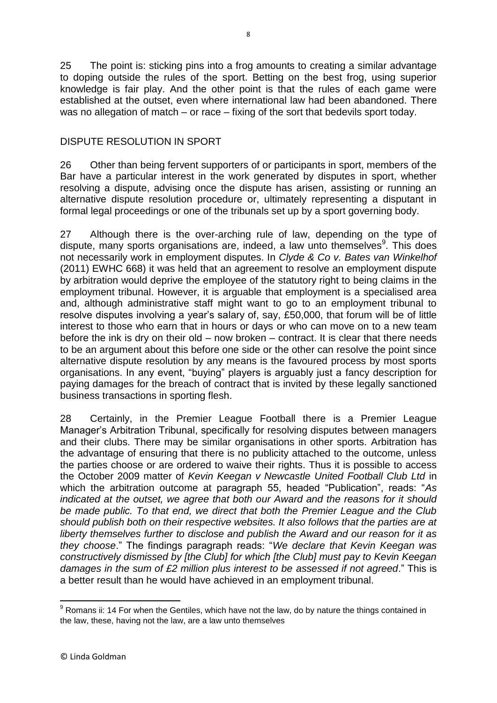25 The point is: sticking pins into a frog amounts to creating a similar advantage to doping outside the rules of the sport. Betting on the best frog, using superior knowledge is fair play. And the other point is that the rules of each game were established at the outset, even where international law had been abandoned. There was no allegation of match – or race – fixing of the sort that bedevils sport today.

## DISPUTE RESOLUTION IN SPORT

26 Other than being fervent supporters of or participants in sport, members of the Bar have a particular interest in the work generated by disputes in sport, whether resolving a dispute, advising once the dispute has arisen, assisting or running an alternative dispute resolution procedure or, ultimately representing a disputant in formal legal proceedings or one of the tribunals set up by a sport governing body.

27 Although there is the over-arching rule of law, depending on the type of dispute, many sports organisations are, indeed, a law unto themselves<sup>9</sup>. This does not necessarily work in employment disputes. In *Clyde & Co v. Bates van Winkelhof*  (2011) EWHC 668) it was held that an agreement to resolve an employment dispute by arbitration would deprive the employee of the statutory right to being claims in the employment tribunal. However, it is arguable that employment is a specialised area and, although administrative staff might want to go to an employment tribunal to resolve disputes involving a year's salary of, say, £50,000, that forum will be of little interest to those who earn that in hours or days or who can move on to a new team before the ink is dry on their old – now broken – contract. It is clear that there needs to be an argument about this before one side or the other can resolve the point since alternative dispute resolution by any means is the favoured process by most sports organisations. In any event, "buying" players is arguably just a fancy description for paying damages for the breach of contract that is invited by these legally sanctioned business transactions in sporting flesh.

28 Certainly, in the Premier League Football there is a Premier League Manager's Arbitration Tribunal, specifically for resolving disputes between managers and their clubs. There may be similar organisations in other sports. Arbitration has the advantage of ensuring that there is no publicity attached to the outcome, unless the parties choose or are ordered to waive their rights. Thus it is possible to access the October 2009 matter of *Kevin Keegan v Newcastle United Football Club Ltd* in which the arbitration outcome at paragraph 55, headed "Publication", reads: "*As indicated at the outset, we agree that both our Award and the reasons for it should be made public. To that end, we direct that both the Premier League and the Club should publish both on their respective websites. It also follows that the parties are at liberty themselves further to disclose and publish the Award and our reason for it as they choose*." The findings paragraph reads: "*We declare that Kevin Keegan was constructively dismissed by [the Club] for which [the Club] must pay to Kevin Keegan damages in the sum of £2 million plus interest to be assessed if not agreed*." This is a better result than he would have achieved in an employment tribunal.

 $\overline{\phantom{a}}$  $9$  Romans ii: 14 For when the Gentiles, which have not the law, do by nature the things contained in the law, these, having not the law, are a law unto themselves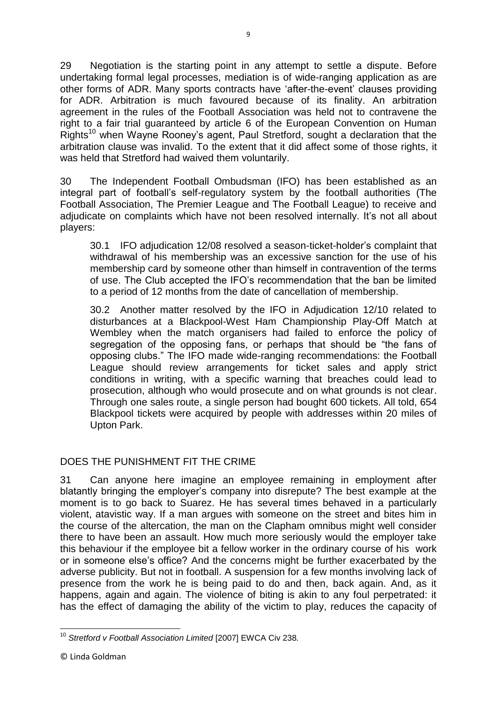29 Negotiation is the starting point in any attempt to settle a dispute. Before undertaking formal legal processes, mediation is of wide-ranging application as are other forms of ADR. Many sports contracts have 'after-the-event' clauses providing for ADR. Arbitration is much favoured because of its finality. An arbitration agreement in the rules of the Football Association was held not to contravene the right to a fair trial guaranteed by article 6 of the European Convention on Human Rights<sup>10</sup> when Wayne Rooney's agent, Paul Stretford, sought a declaration that the arbitration clause was invalid. To the extent that it did affect some of those rights, it was held that Stretford had waived them voluntarily.

30 The Independent Football Ombudsman (IFO) has been established as an integral part of football's self-regulatory system by the football authorities (The Football Association, The Premier League and The Football League) to receive and adjudicate on complaints which have not been resolved internally. It's not all about players:

30.1 IFO adjudication 12/08 resolved a season-ticket-holder's complaint that withdrawal of his membership was an excessive sanction for the use of his membership card by someone other than himself in contravention of the terms of use. The Club accepted the IFO's recommendation that the ban be limited to a period of 12 months from the date of cancellation of membership.

30.2 Another matter resolved by the IFO in Adjudication 12/10 related to disturbances at a Blackpool-West Ham Championship Play-Off Match at Wembley when the match organisers had failed to enforce the policy of segregation of the opposing fans, or perhaps that should be "the fans of opposing clubs." The IFO made wide-ranging recommendations: the Football League should review arrangements for ticket sales and apply strict conditions in writing, with a specific warning that breaches could lead to prosecution, although who would prosecute and on what grounds is not clear. Through one sales route, a single person had bought 600 tickets. All told, 654 Blackpool tickets were acquired by people with addresses within 20 miles of Upton Park.

## DOES THE PUNISHMENT FIT THE CRIME

31 Can anyone here imagine an employee remaining in employment after blatantly bringing the employer's company into disrepute? The best example at the moment is to go back to Suarez. He has several times behaved in a particularly violent, atavistic way. If a man argues with someone on the street and bites him in the course of the altercation, the man on the Clapham omnibus might well consider there to have been an assault. How much more seriously would the employer take this behaviour if the employee bit a fellow worker in the ordinary course of his work or in someone else's office? And the concerns might be further exacerbated by the adverse publicity. But not in football. A suspension for a few months involving lack of presence from the work he is being paid to do and then, back again. And, as it happens, again and again. The violence of biting is akin to any foul perpetrated: it has the effect of damaging the ability of the victim to play, reduces the capacity of

 $\overline{\phantom{a}}$ <sup>10</sup> *Stretford v Football Association Limited* [2007] EWCA Civ 238*.*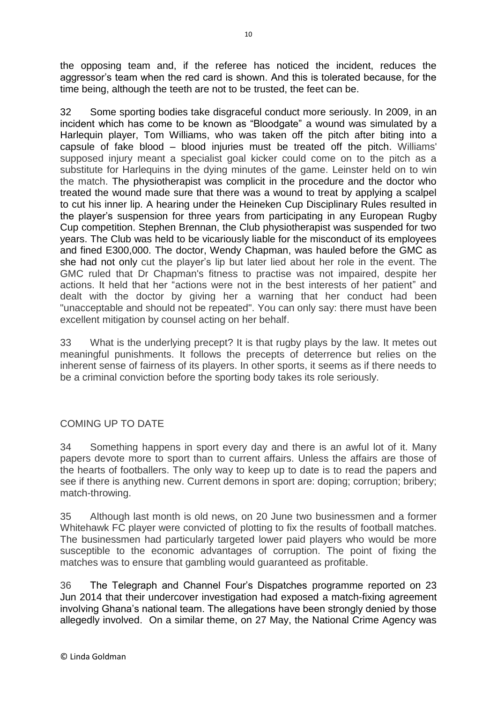the opposing team and, if the referee has noticed the incident, reduces the aggressor's team when the red card is shown. And this is tolerated because, for the time being, although the teeth are not to be trusted, the feet can be.

32 Some sporting bodies take disgraceful conduct more seriously. In 2009, in an incident which has come to be known as "Bloodgate" a wound was simulated by a Harlequin player, Tom Williams, who was taken off the pitch after biting into a capsule of fake blood – blood injuries must be treated off the pitch. Williams' supposed injury meant a specialist goal kicker could come on to the pitch as a substitute for Harlequins in the dying minutes of the game. Leinster held on to win the match. The physiotherapist was complicit in the procedure and the doctor who treated the wound made sure that there was a wound to treat by applying a scalpel to cut his inner lip. A hearing under the Heineken Cup Disciplinary Rules resulted in the player's suspension for three years from participating in any European Rugby Cup competition. Stephen Brennan, the Club physiotherapist was suspended for two years. The Club was held to be vicariously liable for the misconduct of its employees and fined E300,000. The doctor, Wendy Chapman, was hauled before the GMC as she had not only cut the player's lip but later lied about her role in the event. The GMC ruled that Dr Chapman's fitness to practise was not impaired, despite her actions. It held that her "actions were not in the best interests of her patient" and dealt with the doctor by giving her a warning that her conduct had been "unacceptable and should not be repeated". You can only say: there must have been excellent mitigation by counsel acting on her behalf.

33 What is the underlying precept? It is that rugby plays by the law. It metes out meaningful punishments. It follows the precepts of deterrence but relies on the inherent sense of fairness of its players. In other sports, it seems as if there needs to be a criminal conviction before the sporting body takes its role seriously.

## COMING UP TO DATE

34 Something happens in sport every day and there is an awful lot of it. Many papers devote more to sport than to current affairs. Unless the affairs are those of the hearts of footballers. The only way to keep up to date is to read the papers and see if there is anything new. Current demons in sport are: doping; corruption; bribery; match-throwing.

35 Although last month is old news, on 20 June two businessmen and a former Whitehawk FC player were convicted of plotting to fix the results of football matches. The businessmen had particularly targeted lower paid players who would be more susceptible to the economic advantages of corruption. The point of fixing the matches was to ensure that gambling would guaranteed as profitable.

36 The Telegraph and Channel Four's Dispatches programme reported on 23 Jun 2014 that their undercover investigation had exposed a match-fixing agreement involving Ghana's national team. The allegations have been strongly denied by those allegedly involved. On a similar theme, on 27 May, the National Crime Agency was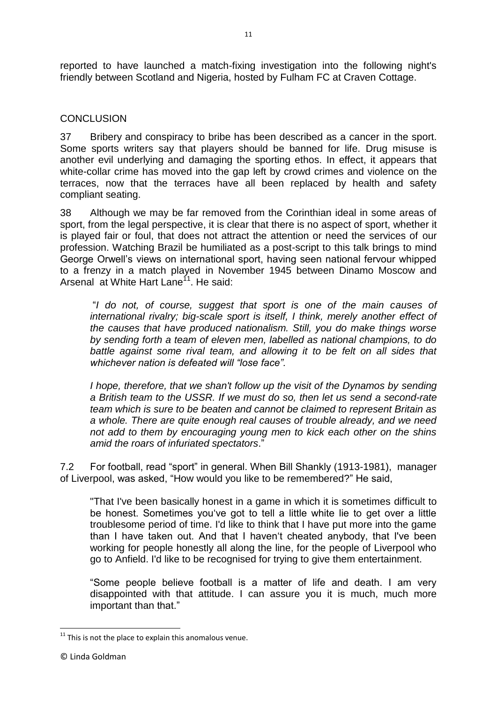reported to have launched a match-fixing investigation into the following night's friendly between Scotland and Nigeria, hosted by Fulham FC at Craven Cottage.

## **CONCLUSION**

37 Bribery and conspiracy to bribe has been described as a cancer in the sport. Some sports writers say that players should be banned for life. Drug misuse is another evil underlying and damaging the sporting ethos. In effect, it appears that white-collar crime has moved into the gap left by crowd crimes and violence on the terraces, now that the terraces have all been replaced by health and safety compliant seating.

38 Although we may be far removed from the Corinthian ideal in some areas of sport, from the legal perspective, it is clear that there is no aspect of sport, whether it is played fair or foul, that does not attract the attention or need the services of our profession. Watching Brazil be humiliated as a post-script to this talk brings to mind George Orwell's views on international sport, having seen national fervour whipped to a frenzy in a match played in November 1945 between Dinamo Moscow and Arsenal at White Hart Lane<sup>11</sup>. He said:

"*I do not, of course, suggest that sport is one of the main causes of international rivalry; big-scale sport is itself, I think, merely another effect of the causes that have produced nationalism. Still, you do make things worse by sending forth a team of eleven men, labelled as national champions, to do*  battle against some rival team, and allowing it to be felt on all sides that *whichever nation is defeated will "lose face".*

*I hope, therefore, that we shan't follow up the visit of the Dynamos by sending a British team to the USSR. If we must do so, then let us send a second-rate team which is sure to be beaten and cannot be claimed to represent Britain as a whole. There are quite enough real causes of trouble already, and we need not add to them by encouraging young men to kick each other on the shins amid the roars of infuriated spectators*."

7.2 For football, read "sport" in general. When Bill Shankly (1913-1981), manager of Liverpool, was asked, "How would you like to be remembered?" He said,

"That I've been basically honest in a game in which it is sometimes difficult to be honest. Sometimes you've got to tell a little white lie to get over a little troublesome period of time. I'd like to think that I have put more into the game than I have taken out. And that I haven't cheated anybody, that I've been working for people honestly all along the line, for the people of Liverpool who go to Anfield. I'd like to be recognised for trying to give them entertainment.

"Some people believe football is a matter of life and death. I am very disappointed with that attitude. I can assure you it is much, much more important than that."

**<sup>.</sup>**  $11$  This is not the place to explain this anomalous venue.